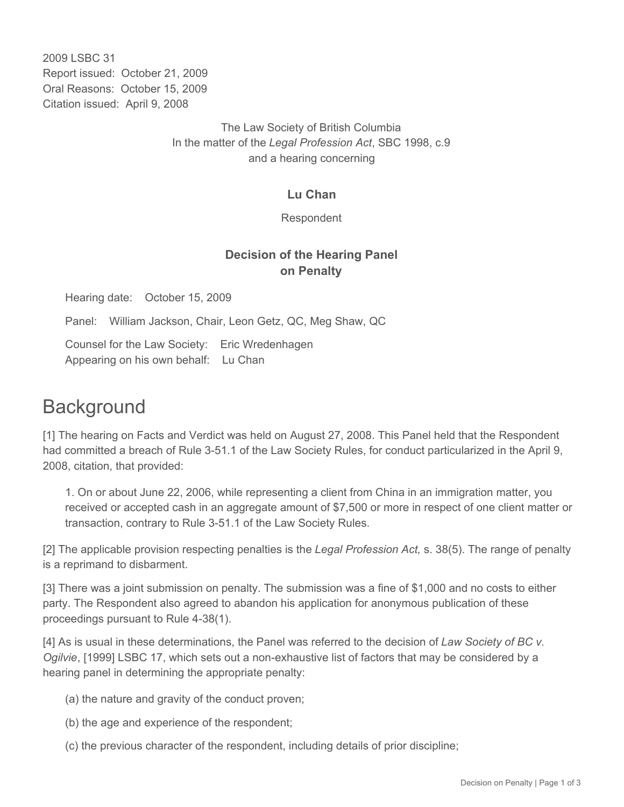2009 LSBC 31 Report issued: October 21, 2009 Oral Reasons: October 15, 2009 Citation issued: April 9, 2008

> The Law Society of British Columbia In the matter of the *Legal Profession Act*, SBC 1998, c.9 and a hearing concerning

#### **Lu Chan**

Respondent

### **Decision of the Hearing Panel on Penalty**

Hearing date: October 15, 2009

Panel: William Jackson, Chair, Leon Getz, QC, Meg Shaw, QC

Counsel for the Law Society: Eric Wredenhagen Appearing on his own behalf: Lu Chan

## **Background**

[1] The hearing on Facts and Verdict was held on August 27, 2008. This Panel held that the Respondent had committed a breach of Rule 3-51.1 of the Law Society Rules, for conduct particularized in the April 9, 2008, citation, that provided:

1. On or about June 22, 2006, while representing a client from China in an immigration matter, you received or accepted cash in an aggregate amount of \$7,500 or more in respect of one client matter or transaction, contrary to Rule 3-51.1 of the Law Society Rules.

[2] The applicable provision respecting penalties is the *Legal Profession Act,* s. 38(5). The range of penalty is a reprimand to disbarment.

[3] There was a joint submission on penalty. The submission was a fine of \$1,000 and no costs to either party. The Respondent also agreed to abandon his application for anonymous publication of these proceedings pursuant to Rule 4-38(1).

[4] As is usual in these determinations, the Panel was referred to the decision of *Law Society of BC v. Ogilvie*, [1999] LSBC 17, which sets out a non-exhaustive list of factors that may be considered by a hearing panel in determining the appropriate penalty:

- (a) the nature and gravity of the conduct proven;
- (b) the age and experience of the respondent;
- (c) the previous character of the respondent, including details of prior discipline;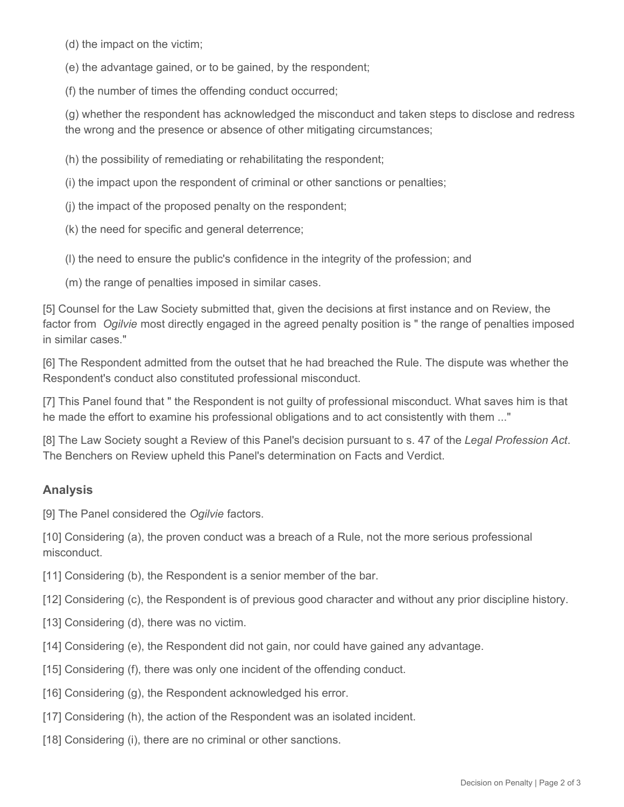(d) the impact on the victim;

(e) the advantage gained, or to be gained, by the respondent;

(f) the number of times the offending conduct occurred;

(g) whether the respondent has acknowledged the misconduct and taken steps to disclose and redress the wrong and the presence or absence of other mitigating circumstances;

(h) the possibility of remediating or rehabilitating the respondent;

(i) the impact upon the respondent of criminal or other sanctions or penalties;

(j) the impact of the proposed penalty on the respondent;

(k) the need for specific and general deterrence;

(l) the need to ensure the public's confidence in the integrity of the profession; and

(m) the range of penalties imposed in similar cases.

[5] Counsel for the Law Society submitted that, given the decisions at first instance and on Review, the factor from *Ogilvie* most directly engaged in the agreed penalty position is " the range of penalties imposed in similar cases."

[6] The Respondent admitted from the outset that he had breached the Rule. The dispute was whether the Respondent's conduct also constituted professional misconduct.

[7] This Panel found that " the Respondent is not guilty of professional misconduct. What saves him is that he made the effort to examine his professional obligations and to act consistently with them ..."

[8] The Law Society sought a Review of this Panel's decision pursuant to s. 47 of the *Legal Profession Act*. The Benchers on Review upheld this Panel's determination on Facts and Verdict.

### **Analysis**

[9] The Panel considered the *Ogilvie* factors.

[10] Considering (a), the proven conduct was a breach of a Rule, not the more serious professional misconduct.

[11] Considering (b), the Respondent is a senior member of the bar.

[12] Considering (c), the Respondent is of previous good character and without any prior discipline history.

[13] Considering (d), there was no victim.

[14] Considering (e), the Respondent did not gain, nor could have gained any advantage.

[15] Considering (f), there was only one incident of the offending conduct.

[16] Considering (g), the Respondent acknowledged his error.

- [17] Considering (h), the action of the Respondent was an isolated incident.
- [18] Considering (i), there are no criminal or other sanctions.